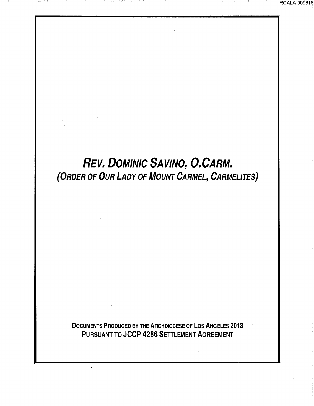# REV. DOMINIC SAVINO, O.CARM. {ORDER OF OUR LADY OF MOUNT CARMEL, CARMELITES)

DOCUMENTS PRODUCED BY THE ARCHDIOCESE OF LOS ANGELES 2013 PURSUANT TO JCCP 4286 SETTLEMENT AGREEMENT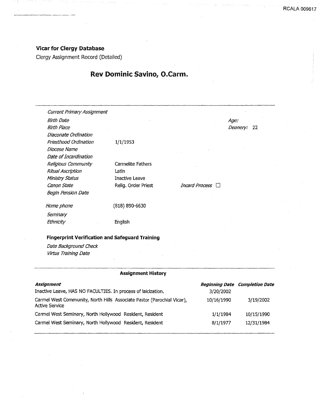### Vicar for Clergy Database

------·-···-----·

Clergy Assignment Record (Detailed)

## Rev Dominic Savino, O.Carm.

| <b>Current Primary Assignment</b>                      |                       |                  |                 |
|--------------------------------------------------------|-----------------------|------------------|-----------------|
| <b>Birth Date</b>                                      |                       |                  | Age:            |
| <b>Birth Place</b>                                     |                       |                  | Deanery:<br>-22 |
| Diaconate Ordination                                   |                       |                  |                 |
| Priesthood Ordination                                  | 1/1/1953              |                  |                 |
| Diocese Name                                           |                       |                  |                 |
| Date of Incardination                                  |                       |                  |                 |
|                                                        |                       |                  |                 |
| Religious Community                                    | Carmelite Fathers     |                  |                 |
| Ritual Ascription                                      | Latin                 |                  |                 |
| Ministry Status                                        | <b>Inactive Leave</b> |                  |                 |
| Canon State                                            | Relig. Order Priest   | Incard Process □ |                 |
| <b>Begin Pension Date</b>                              |                       |                  |                 |
| Home phone                                             | (818) 890-6630        |                  |                 |
| Seminary                                               |                       |                  |                 |
| Ethnicity                                              | English               |                  |                 |
|                                                        |                       |                  |                 |
| <b>Fingerprint Verification and Safeguard Training</b> |                       |                  |                 |
| Date Background Check                                  |                       |                  |                 |
| Virtus Training Date                                   |                       |                  |                 |

| <b>Assignment History</b>                                                                       |            |                                       |  |
|-------------------------------------------------------------------------------------------------|------------|---------------------------------------|--|
| Assianment                                                                                      |            | <b>Beginning Date Completion Date</b> |  |
| Inactive Leave, HAS NO FACULTIES. In process of laicization.                                    | 3/20/2002  |                                       |  |
| Carmel West Community, North Hills Associate Pastor (Parochial Vicar),<br><b>Active Service</b> | 10/16/1990 | 3/19/2002                             |  |
| Carmel West Seminary, North Hollywood Resident, Resident                                        | 1/1/1984   | 10/15/1990                            |  |
| Carmel West Seminary, North Hollywood Resident, Resident                                        | 8/1/1977   | 12/31/1984                            |  |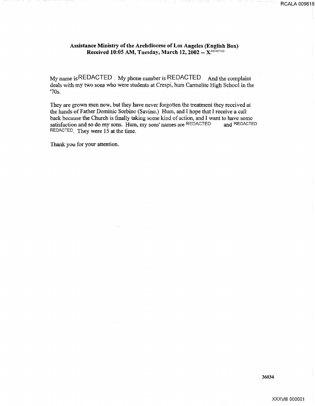#### Assistance Ministry of the Archdiocese of Los Angeles (English Box) Received 10:05 AM, Tuesday, March 12, 2002  $- X^{REDACTED}$

My name is REDACTED . My phone number is REQACTED And the complaint deals with my two sons who were students at Crespi, hum Carmelite High School in the '70s.

They are grown men now, but they have never forgotten the treatment they received at the hands of Father Dominic Sorbino (Savino.) Hum, and I hope that I receive a call back because the Church is finally taking some kind of action, and I want to have some satisfaction and so do my sons. Hum, my sons' names are REDACTED and REDACTED satisfaction and so do my sons. Hum, my sons' names are REDACTED REDACTED. They were 15 at the time.

Thank you for your attention.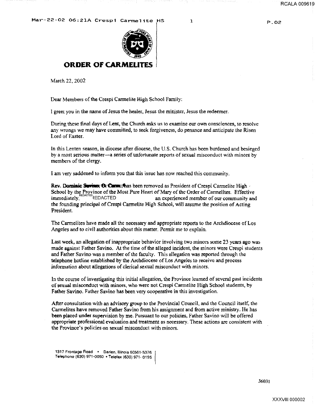

#### **ORDER OF CARMEL**

March 22, 2002

Dear Members of the Crespi Carmelite High School Family:

I greet you in the name of Jesus the healer, Jesus the minister, Jesus the redeemer.

During these final days of Lent, the Church asks us to examine our own consciences, to resolve any wrongs we may have committed, to seek forgiveness, do penance and anticipate the Risen Lord of Easter.

In this Lenten season, in diocese after diocese, the U.S. Church has been burdened and besieged by a most serious matter-a series of unfortunate reports of sexual misconduct with minors by members of the clergy.

I am very saddened to inform you that this issue has now reached this community.

Rev. Dominic Survince; **Q. Curre**; thas been removed as President of Crespi Carmelite High -School by the Province of the Most Pure Heart of Mary of the Order of Carmelites. Effective . The education of the second term is a second term of the second term is an experienced member of our community and the founding principal of Crespi Carmelite High School, will assume the position of Acting President.

The Carmelites have made all the necessary and appropriate reports to the Archdiocese of Los Angeles and to civil authorities about this matter. Permit me to explain.

Last week, an allegation of inappropriate behavior involving two minors some 23 years ago was made against Father Savino. At the time of the alleged incident, the minors were Crespi students and Father Savino was a member of the faculty. This allegation was reported through the telephone hotline established by the Archdiocese of Los Angeles to receive and process information about allegations of clerical sexual misconduct with minors.

In the course of investigating this initial allegation, the Province learned of several past incidents of sexual misconduct with minors, who were not Crespi Carmelite High School students, by Father Savino. Father Savino has been very cooperative in this investigation.

After consultation with an advisory group to the Provincial Council, and the Council itself, the Carmelites have removed Father Savino from his assignment and from active ministry. He has been placed under supervision by me. Pursuant to our policies, Father Savino will be offered appropriate professional evaluation and treatment as necessary. These actions are consistent with the Province's policies on sexual misconduct with minors.

1317 Frontage Road • Darien, Illinois 60561·5376 Telephon& (630) 971·0050 • Telelax (630) 971· 0195

P.02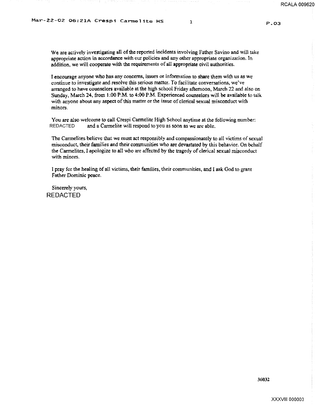P.03

We are actively investigating all of the reported incidents involving Father Savino and will take appropriate action in accordance with our policies and any other appropriate organization. In addition, we will cooperate with the requirements of all appropriate civil authorities.

I encourage anyone who has any concerns, issues or information to share them with us as we continue to investigate and resolve this serious matter. To facilitate conversations, we've arranged to have counselors available at the high school Friday afternoon, March 22 and also on Sunday, March 24, from 1:00 P.M. to 4:00 P.M. Experienced counselors will be available to talk with anyone about any aspect of this matter or the issue of clerical sexual misconduct with minors.

You are also welcome to call Crespi Carmelite High School anytime at the following number:<br>REDACTED and a Carmelite will respond to you as soon as we are able. and a Carmelite will respond to you as soon as we are able.

The Carmelites believe that we must act responsibly and compassionately to all victims of sexual misconduct, their families and their conununities who are devastated by this behavior. On behalf the Carmelites, I apologize to all who are affected by the tragedy of clerical sexual misconduct with minors.

I pray for the healing of all victims, their families. their communities, and I ask God to grant Father Dominic peace.

Sincerely yours, REDACTED

36032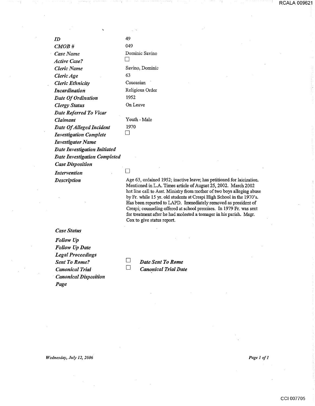*ID CMOB# Case Name Active Case? Cleric Name Cleric Age Cleric Etltnicity Incardination* 

*Claimant* 

49 049 Dominic Savino  $\Box$ Savino, Dominic 63 Caucasian Religious Order 1952 On Leave Youth-Male 1970

*Investigator Name Date Investigation Initiated Date Investigation Completed* 

*Case Disposition* 

*Date Of Ordination Clergy Status* 

*Date Referred To Vicar* 

*Date Of Alleged Incident Investigation Complete* 

*Intervention Description* 

*Case Status* 

*Follow Up Follow Up Date Legal Proceedings Sent To Rome? Canonical Trial· Canonical Disposition Page* 

 $\Box$ 

 $\Box$ 

Age 63, ordained 1952; inactive leave; has petitioned for laicization. Mentioned in L.A. Times article of August 25, 2002. March 2002 hot line call to Asst. Ministry from mother of two boys alleging abuse by Fr. while 15 yr. old students at Crespi High School in the 1970's. Has been reported to LAPD. Immediately removed as president of Crespi; counseling offered at school premises. In 1979 Fr. was sent for treatment after he had molested a teenager in his parish. Msgr. Cox to give status report.

 $\Box$  $\Box$ 

*Date Sent To Rome Canonical Trial Date* 

*Wednesday, July 12, 2006* 

*Pagel ofl* 

RCALA 009621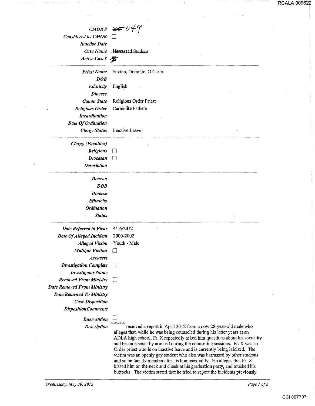|                                   | CMOB# 360049                                                                       |
|-----------------------------------|------------------------------------------------------------------------------------|
| Considered by CMOB                |                                                                                    |
| <b>Inactive Date</b>              |                                                                                    |
| Case Name                         | <del>Harrassed Student</del>                                                       |
| Active Case?                      |                                                                                    |
|                                   |                                                                                    |
| <b>Priest Name</b>                | Savino, Dominic, O.Carm.                                                           |
| DOB                               |                                                                                    |
| Ethnicity                         | English                                                                            |
| <b>Diocese</b>                    |                                                                                    |
| <b>Canon State</b>                | Religious Order Priest                                                             |
| <b>Religious Order</b>            | Carmelite Fathers                                                                  |
| <b>Incardination</b>              |                                                                                    |
| Date Of Ordination                |                                                                                    |
| <b>Clergy Status</b>              | Inactive Leave                                                                     |
| <b>Clergy</b> (Faculties)         |                                                                                    |
| Religious                         | $\vert \ \ \vert$                                                                  |
| <b>Diocesan</b>                   |                                                                                    |
| <b>Description</b>                |                                                                                    |
| Deacon                            |                                                                                    |
| <b>DOB</b>                        |                                                                                    |
| <b>Diocese</b>                    |                                                                                    |
| <b>Ethnicity</b>                  |                                                                                    |
| <b>Ordination</b>                 |                                                                                    |
| <b>Status</b>                     |                                                                                    |
| Date Referred to Vicar            | 4/16/2012                                                                          |
| Date Of Alleged Incident          | 2000-2002                                                                          |
| <b>Alleged Victim</b>             | Youth - Male                                                                       |
| <b>Multiple Victims</b>           |                                                                                    |
| <b>Accusers</b>                   |                                                                                    |
| <b>Investigation Complete</b>     | LI                                                                                 |
| <b>Investigator Name</b>          |                                                                                    |
| <b>Removed From Ministry</b>      | $\Box$                                                                             |
| <b>Date Removed From Ministry</b> |                                                                                    |
| <b>Date Returned To Ministry</b>  |                                                                                    |
| <b>Case Disposition</b>           |                                                                                    |
| <b>DispositionComments</b>        |                                                                                    |
| Intervention                      |                                                                                    |
| <b>Description</b>                | <b>REDACTED</b><br>received a report in April 2012 from a now 28-year-old male who |

alleges that, while he was being counseled during his latter years at an ADLA high school, Fr. X repeatedly asked him questions about his sexuality and became sexually aroused during the counseling sessions. Fr. X was an Order priest who is on inactive leave and is currently being laicized. The victim was an openly gay student who also was harrassed by other students and some faculty members for his homosexuality. He alleges that Fr. X kissed him on the neck and cheek at his graduation party, and touched his buttocks. The victim stated that he tried to report the incidents previously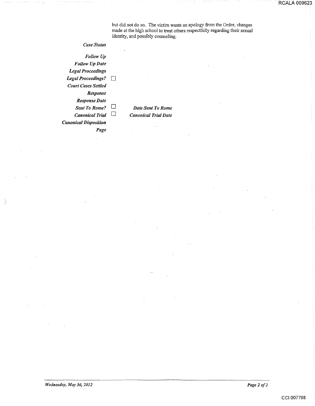but did not do so. The victim wants an apology from the Order, changes made at the high school to treat others respectfully regarding their sexual identity, and possibly counseling.

*Case Status* 

*Follow Up Follow Up Date Legal Proceedings Legal Proceedings?* □ *Court Cases Settled Response Response Date Sent To Rome?* D *Canonical Trial*  $\Box$ *Canonical Disposition* 

*Page* 

*Date Sent To Rome Canonical Trial Date* 

 $\mathcal{S}$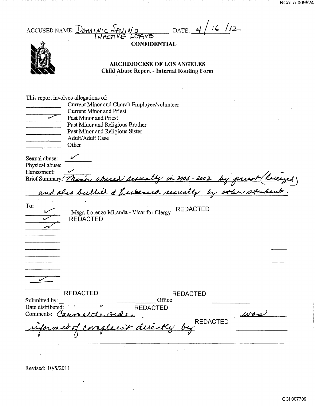ACCUSED NAME:  $Dom[N] \subset \frac{S_{AV}N_{O}}{S_{V}}$  DATE: 4/ 16/ 12

**CONFIDENTIAL** 



#### ARCHDIOCESE OF LOS ANGELES Child Abuse Report - Internal Routing Form

|                                                 | This report involves allegations of:                                           |
|-------------------------------------------------|--------------------------------------------------------------------------------|
|                                                 | Current Minor and Church Employee/volunteer                                    |
|                                                 | <b>Current Minor and Priest</b>                                                |
|                                                 | Past Minor and Priest                                                          |
|                                                 | Past Minor and Religious Brother                                               |
|                                                 | Past Minor and Religious Sister                                                |
|                                                 | Adult/Adult Case                                                               |
|                                                 | Other                                                                          |
| Sexual abuse:<br>Physical abuse:<br>Harassment: |                                                                                |
|                                                 | Ly in 2006 - 2002<br>Brief Summary: There abused                               |
|                                                 | and also bulled & have<br>seed sexual                                          |
| To:                                             | <b>REDACTED</b><br>Msgr. Lorenzo Miranda - Vicar for Clergy<br><b>REDACTED</b> |
|                                                 |                                                                                |
|                                                 |                                                                                |
|                                                 |                                                                                |
|                                                 |                                                                                |
|                                                 |                                                                                |
|                                                 | <b>REDACTED</b><br><b>REDACTED</b>                                             |
| Submitted by:                                   | Office                                                                         |
| Date distributed:                               | <b>REDACTED</b>                                                                |
| Comments: Carr                                  | wr                                                                             |
|                                                 | <b>REDACTED</b>                                                                |
|                                                 |                                                                                |

Revised: 1 0/5/2011

 $\mathcal{L}_{\mathcal{A}}$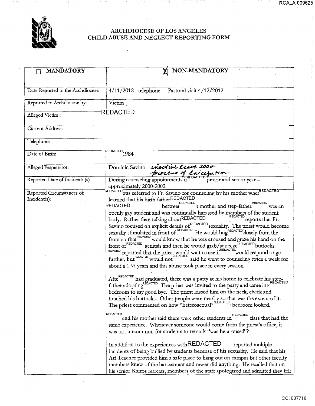

#### ARCHDIOCESE OF LOS ANGELES CHILD ABUSE AND NEGLECT REPORTING FORM

| <b>MANDATORY</b>                  | NON-MANDATORY<br>M                                                                                                                                                                                                                                                                                                                                                                                                                                                                                                                                                                                                                                                                                                                                              |
|-----------------------------------|-----------------------------------------------------------------------------------------------------------------------------------------------------------------------------------------------------------------------------------------------------------------------------------------------------------------------------------------------------------------------------------------------------------------------------------------------------------------------------------------------------------------------------------------------------------------------------------------------------------------------------------------------------------------------------------------------------------------------------------------------------------------|
|                                   |                                                                                                                                                                                                                                                                                                                                                                                                                                                                                                                                                                                                                                                                                                                                                                 |
| Date Reported to the Archdiocese: | $4/11/2012$ -telephone - Pastoral visit $4/12/2012$                                                                                                                                                                                                                                                                                                                                                                                                                                                                                                                                                                                                                                                                                                             |
| Reported to Archdiocese by:       | Victim                                                                                                                                                                                                                                                                                                                                                                                                                                                                                                                                                                                                                                                                                                                                                          |
| Alleged Victim:                   | REDACTED                                                                                                                                                                                                                                                                                                                                                                                                                                                                                                                                                                                                                                                                                                                                                        |
| <b>Current Address:</b>           |                                                                                                                                                                                                                                                                                                                                                                                                                                                                                                                                                                                                                                                                                                                                                                 |
| Telephone:                        |                                                                                                                                                                                                                                                                                                                                                                                                                                                                                                                                                                                                                                                                                                                                                                 |
| Date of Birth:                    | REDACTED <sub>1984</sub>                                                                                                                                                                                                                                                                                                                                                                                                                                                                                                                                                                                                                                                                                                                                        |
| Alleged Perpetrator:              | Dominic Savino Lusctive leave 2002                                                                                                                                                                                                                                                                                                                                                                                                                                                                                                                                                                                                                                                                                                                              |
| Reported Date of Incident: (s)    | During counseling appointments in REDACTED junior and senior year -<br>approximately 2000-2002                                                                                                                                                                                                                                                                                                                                                                                                                                                                                                                                                                                                                                                                  |
| Reported Circumstances of         | REDACTED was referred to Fr. Savino for counseling by his mother when REDACTED                                                                                                                                                                                                                                                                                                                                                                                                                                                                                                                                                                                                                                                                                  |
| Incident(s):                      | learned that his birth fatherREDACTED<br><b>REDACTED</b><br>REDACTED<br>s mother and step-father.<br>betweer<br>. was an                                                                                                                                                                                                                                                                                                                                                                                                                                                                                                                                                                                                                                        |
|                                   | openly gay student and was continually harassed by members of the student<br>body. Rather than talking aboutREDACTED<br>reports that Fr.<br>Savino focused on explicit details of <sup>REDACTED</sup> sexuality. The priest would become<br>Sexually stimulated in front of REDACTED He would hugh REDACTED closely from the<br>front so that REDACTED would know that he was aroused and graze his hand on the<br>front of <sup>REDACTED</sup> genitals and then he would grab/squeeze <sup>REDACTED</sup> buttocks.<br>REDACTED reported that the priest would wait to see if REDACTED would respond or go<br>further, but ______ would not<br>said he went to counseling twice a week for<br>about a 1 1/2 years and this abuse took place in every session. |
|                                   | Afte <sup>REDACTED</sup> had graduated, there was a party at his home to celebrate his step-<br>father adopting <b>REDACTED</b> The priest was invited to the party and came into<br>bedroom to say good bye. The priest kissed him on the neck, cheek and<br>touched his buttocks. Other people were nearby so that was the extent of it.<br>The priest commented on how "heterosexual".REDACTED bedroom looked.<br><b>REDACTED</b>                                                                                                                                                                                                                                                                                                                            |
|                                   | REDACTED<br>class that had the<br>and his mother said there were other students in<br>same experience. Whenever someone would come from the priest's office, it<br>was not uncommon for students to remark "was he aroused"?                                                                                                                                                                                                                                                                                                                                                                                                                                                                                                                                    |
|                                   | In addition to the experiences with REDACTED<br>reported multiple<br>incidents of being bullied by students because of his sexuality. He said that his<br>Art Teacher provided him a safe place to hang out on campus but other faculty<br>members knew of the harassment and never did anything. He recalled that on<br>his senior Kairos retreats, members of the staff apologized and admitted they felt                                                                                                                                                                                                                                                                                                                                                     |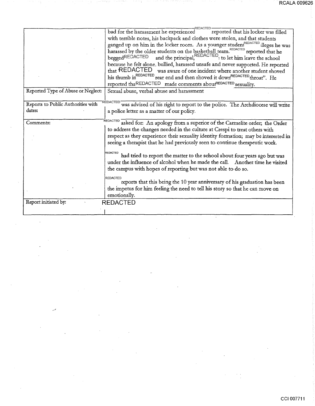|                                    | bad for the harassment he experienced<br>reported that his locker was filled                                                                                                    |
|------------------------------------|---------------------------------------------------------------------------------------------------------------------------------------------------------------------------------|
|                                    | with terrible notes, his backpack and clothes were stolen, and that students                                                                                                    |
|                                    | ganged up on him in the locker room. As a younger studen <sup>REDACTED</sup> illeges he was                                                                                     |
|                                    |                                                                                                                                                                                 |
|                                    | harassed by the older students on the basketball team. <sup>REDACTED</sup> reported that he beggedREDACTED and the principal, <sup>REDACTED</sup> , to let him leave the school |
|                                    | because he felt alone. bullied, harassed unsafe and never supported. He reported                                                                                                |
|                                    | that REDACTED was aware of one incident where another student shoved                                                                                                            |
|                                    | his thumb in <sup>REDACTED</sup> rear end and then shoved it down <sup>REDACTED</sup> throat". He                                                                               |
|                                    | reported thaREDACTED made comments aboutREDACTED sexuality.                                                                                                                     |
| Reported Type of Abuse or Neglect: | Sexual abuse, verbal abuse and harassment                                                                                                                                       |
|                                    |                                                                                                                                                                                 |
| Reports to Public Authorities with | REDACTED<br>was advised of his right to report to the police. The Archdiocese will write                                                                                        |
| dates:                             | a police letter as a matter of our policy.                                                                                                                                      |
|                                    |                                                                                                                                                                                 |
| Comments:                          | asked for: An apology from a superior of the Carmelite order; the Order                                                                                                         |
|                                    | to address the changes needed in the culture at Crespi to treat others with                                                                                                     |
|                                    | respect as they experience their sexuality identity formation; may be interested in                                                                                             |
|                                    | seeing a therapist that he had previously seen to continue therapeutic work.                                                                                                    |
|                                    |                                                                                                                                                                                 |
|                                    | REDACTED<br>had tried to report the matter to the school about four years ago but was                                                                                           |
|                                    | under the influence of alcohol when he made the call. Another time he visited                                                                                                   |
|                                    | the campus with hopes of reporting but was not able to do so.                                                                                                                   |
|                                    | <b>REDACTED</b>                                                                                                                                                                 |
|                                    | reports that this being the 10 year anniversary of his graduation has been                                                                                                      |
|                                    | the impetus for him feeling the need to tell his story so that he can move on                                                                                                   |
|                                    | emotionally.                                                                                                                                                                    |
| Report initiated by:               | <b>REDACTED</b>                                                                                                                                                                 |
|                                    |                                                                                                                                                                                 |
|                                    |                                                                                                                                                                                 |

 $\bar{\lambda}$ 

T)

Ħ

l,

فير

- 1